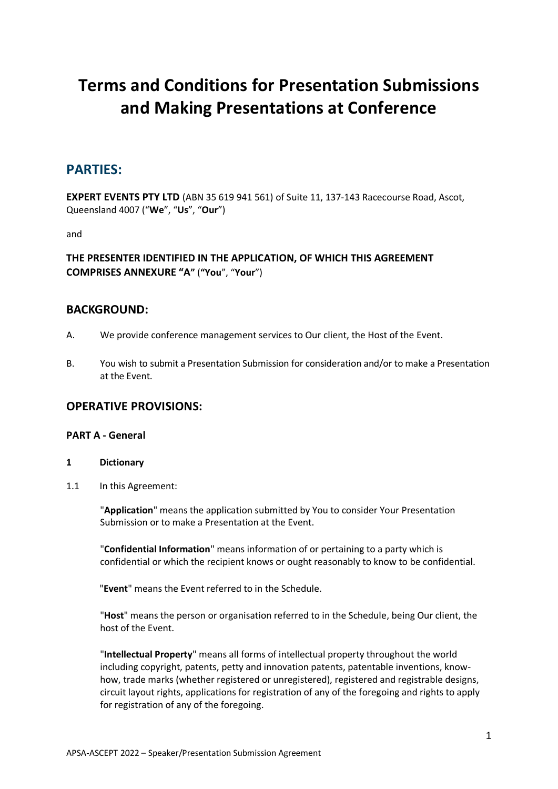# **Terms and Conditions for Presentation Submissions and Making Presentations at Conference**

## **PARTIES:**

**EXPERT EVENTS PTY LTD** (ABN 35 619 941 561) of Suite 11, 137-143 Racecourse Road, Ascot, Queensland 4007 ("**We**", "**Us**", "**Our**")

and

## **THE PRESENTER IDENTIFIED IN THE APPLICATION, OF WHICH THIS AGREEMENT COMPRISES ANNEXURE "A"** (**"You**", "**Your**")

## **BACKGROUND:**

- A. We provide conference management services to Our client, the Host of the Event.
- B. You wish to submit a Presentation Submission for consideration and/or to make a Presentation at the Event.

## **OPERATIVE PROVISIONS:**

## **PART A - General**

- **1 Dictionary**
- 1.1 In this Agreement:

"**Application**" means the application submitted by You to consider Your Presentation Submission or to make a Presentation at the Event.

"**Confidential Information**" means information of or pertaining to a party which is confidential or which the recipient knows or ought reasonably to know to be confidential.

"**Event**" means the Event referred to in the Schedule.

"**Host**" means the person or organisation referred to in the Schedule, being Our client, the host of the Event.

"**Intellectual Property**" means all forms of intellectual property throughout the world including copyright, patents, petty and innovation patents, patentable inventions, knowhow, trade marks (whether registered or unregistered), registered and registrable designs, circuit layout rights, applications for registration of any of the foregoing and rights to apply for registration of any of the foregoing.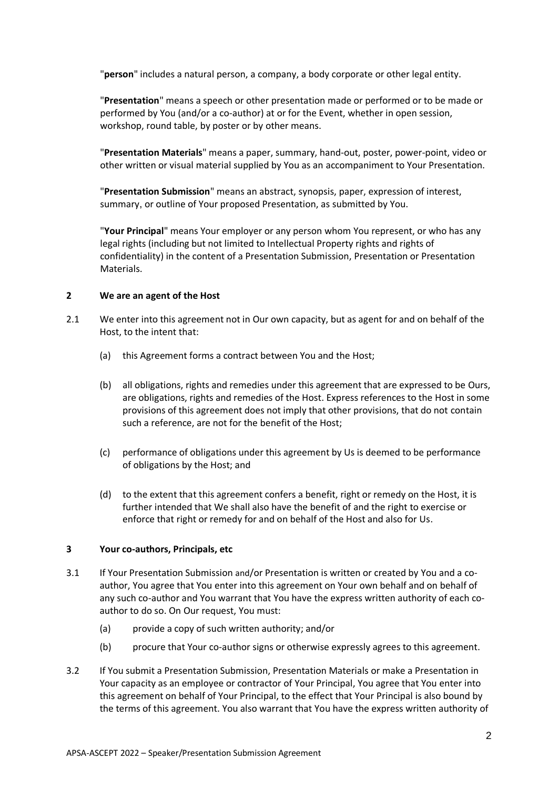"**person**" includes a natural person, a company, a body corporate or other legal entity.

"**Presentation**" means a speech or other presentation made or performed or to be made or performed by You (and/or a co-author) at or for the Event, whether in open session, workshop, round table, by poster or by other means.

"**Presentation Materials**" means a paper, summary, hand-out, poster, power-point, video or other written or visual material supplied by You as an accompaniment to Your Presentation.

"**Presentation Submission**" means an abstract, synopsis, paper, expression of interest, summary, or outline of Your proposed Presentation, as submitted by You.

"**Your Principal**" means Your employer or any person whom You represent, or who has any legal rights (including but not limited to Intellectual Property rights and rights of confidentiality) in the content of a Presentation Submission, Presentation or Presentation Materials.

### **2 We are an agent of the Host**

- 2.1 We enter into this agreement not in Our own capacity, but as agent for and on behalf of the Host, to the intent that:
	- (a) this Agreement forms a contract between You and the Host;
	- (b) all obligations, rights and remedies under this agreement that are expressed to be Ours, are obligations, rights and remedies of the Host. Express references to the Host in some provisions of this agreement does not imply that other provisions, that do not contain such a reference, are not for the benefit of the Host;
	- (c) performance of obligations under this agreement by Us is deemed to be performance of obligations by the Host; and
	- (d) to the extent that this agreement confers a benefit, right or remedy on the Host, it is further intended that We shall also have the benefit of and the right to exercise or enforce that right or remedy for and on behalf of the Host and also for Us.

### **3 Your co-authors, Principals, etc**

- 3.1 If Your Presentation Submission and/or Presentation is written or created by You and a coauthor, You agree that You enter into this agreement on Your own behalf and on behalf of any such co-author and You warrant that You have the express written authority of each coauthor to do so. On Our request, You must:
	- (a) provide a copy of such written authority; and/or
	- (b) procure that Your co-author signs or otherwise expressly agrees to this agreement.
- 3.2 If You submit a Presentation Submission, Presentation Materials or make a Presentation in Your capacity as an employee or contractor of Your Principal, You agree that You enter into this agreement on behalf of Your Principal, to the effect that Your Principal is also bound by the terms of this agreement. You also warrant that You have the express written authority of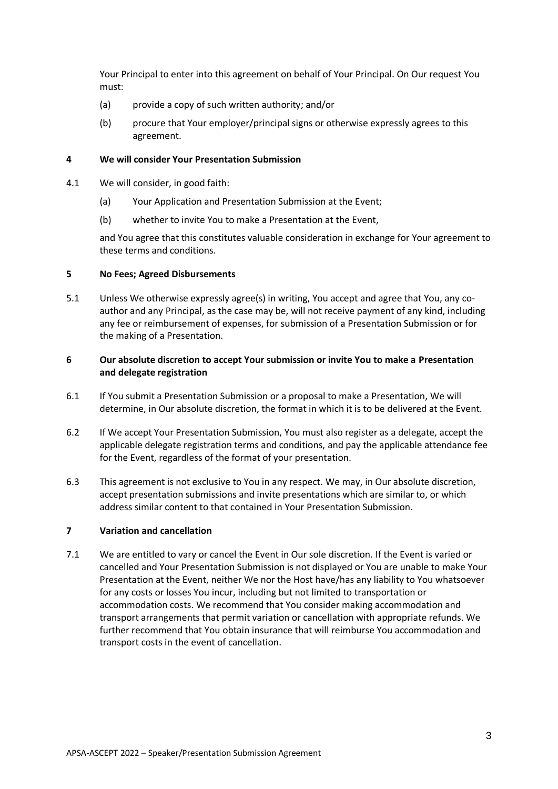Your Principal to enter into this agreement on behalf of Your Principal. On Our request You must:

- (a) provide a copy of such written authority; and/or
- (b) procure that Your employer/principal signs or otherwise expressly agrees to this agreement.

## **4 We will consider Your Presentation Submission**

- 4.1 We will consider, in good faith:
	- (a) Your Application and Presentation Submission at the Event;
	- (b) whether to invite You to make a Presentation at the Event,

and You agree that this constitutes valuable consideration in exchange for Your agreement to these terms and conditions.

## **5 No Fees; Agreed Disbursements**

5.1 Unless We otherwise expressly agree(s) in writing, You accept and agree that You, any coauthor and any Principal, as the case may be, will not receive payment of any kind, including any fee or reimbursement of expenses, for submission of a Presentation Submission or for the making of a Presentation.

## **6 Our absolute discretion to accept Your submission or invite You to make a Presentation and delegate registration**

- 6.1 If You submit a Presentation Submission or a proposal to make a Presentation, We will determine, in Our absolute discretion, the format in which it is to be delivered at the Event.
- 6.2 If We accept Your Presentation Submission, You must also register as a delegate, accept the applicable delegate registration terms and conditions, and pay the applicable attendance fee for the Event, regardless of the format of your presentation.
- 6.3 This agreement is not exclusive to You in any respect. We may, in Our absolute discretion, accept presentation submissions and invite presentations which are similar to, or which address similar content to that contained in Your Presentation Submission.

## **7 Variation and cancellation**

7.1 We are entitled to vary or cancel the Event in Our sole discretion. If the Event is varied or cancelled and Your Presentation Submission is not displayed or You are unable to make Your Presentation at the Event, neither We nor the Host have/has any liability to You whatsoever for any costs or losses You incur, including but not limited to transportation or accommodation costs. We recommend that You consider making accommodation and transport arrangements that permit variation or cancellation with appropriate refunds. We further recommend that You obtain insurance that will reimburse You accommodation and transport costs in the event of cancellation.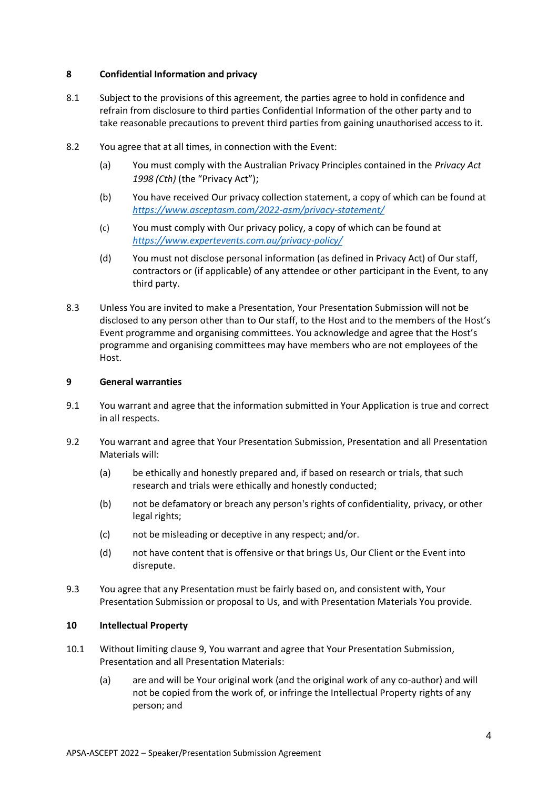### **8 Confidential Information and privacy**

- 8.1 Subject to the provisions of this agreement, the parties agree to hold in confidence and refrain from disclosure to third parties Confidential Information of the other party and to take reasonable precautions to prevent third parties from gaining unauthorised access to it.
- 8.2 You agree that at all times, in connection with the Event:
	- (a) You must comply with the Australian Privacy Principles contained in the *Privacy Act 1998 (Cth)* (the "Privacy Act");
	- (b) You have received Our privacy collection statement, a copy of which can be found at *<https://www.asceptasm.com/2022-asm/privacy-statement/>*
	- (c) You must comply with Our privacy policy, a copy of which can be found at *<https://www.expertevents.com.au/privacy-policy/>*
	- (d) You must not disclose personal information (as defined in Privacy Act) of Our staff, contractors or (if applicable) of any attendee or other participant in the Event, to any third party.
- 8.3 Unless You are invited to make a Presentation, Your Presentation Submission will not be disclosed to any person other than to Our staff, to the Host and to the members of the Host's Event programme and organising committees. You acknowledge and agree that the Host's programme and organising committees may have members who are not employees of the Host.

### **9 General warranties**

- 9.1 You warrant and agree that the information submitted in Your Application is true and correct in all respects.
- 9.2 You warrant and agree that Your Presentation Submission, Presentation and all Presentation Materials will:
	- (a) be ethically and honestly prepared and, if based on research or trials, that such research and trials were ethically and honestly conducted;
	- (b) not be defamatory or breach any person's rights of confidentiality, privacy, or other legal rights;
	- (c) not be misleading or deceptive in any respect; and/or.
	- (d) not have content that is offensive or that brings Us, Our Client or the Event into disrepute.
- 9.3 You agree that any Presentation must be fairly based on, and consistent with, Your Presentation Submission or proposal to Us, and with Presentation Materials You provide.

### **10 Intellectual Property**

- 10.1 Without limiting clause 9, You warrant and agree that Your Presentation Submission, Presentation and all Presentation Materials:
	- (a) are and will be Your original work (and the original work of any co-author) and will not be copied from the work of, or infringe the Intellectual Property rights of any person; and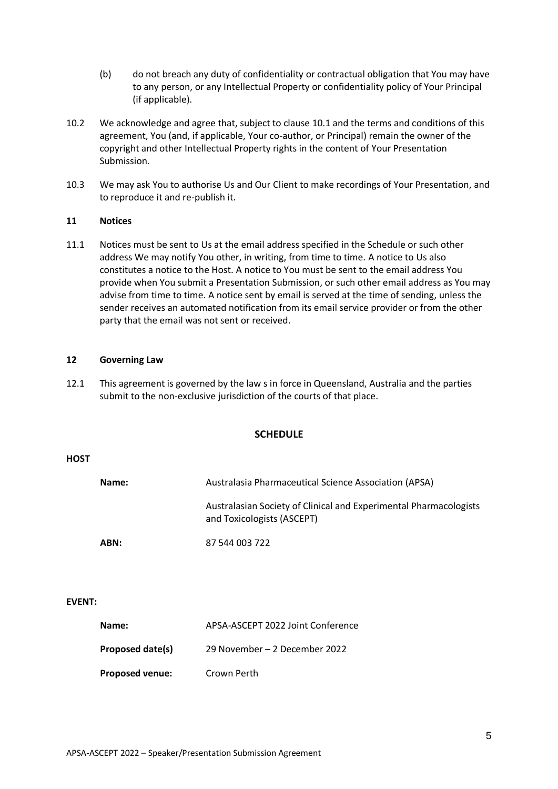- (b) do not breach any duty of confidentiality or contractual obligation that You may have to any person, or any Intellectual Property or confidentiality policy of Your Principal (if applicable).
- 10.2 We acknowledge and agree that, subject to clause 10.1 and the terms and conditions of this agreement, You (and, if applicable, Your co-author, or Principal) remain the owner of the copyright and other Intellectual Property rights in the content of Your Presentation Submission.
- 10.3 We may ask You to authorise Us and Our Client to make recordings of Your Presentation, and to reproduce it and re-publish it.

#### **11 Notices**

11.1 Notices must be sent to Us at the email address specified in the Schedule or such other address We may notify You other, in writing, from time to time. A notice to Us also constitutes a notice to the Host. A notice to You must be sent to the email address You provide when You submit a Presentation Submission, or such other email address as You may advise from time to time. A notice sent by email is served at the time of sending, unless the sender receives an automated notification from its email service provider or from the other party that the email was not sent or received.

#### **12 Governing Law**

12.1 This agreement is governed by the law s in force in Queensland, Australia and the parties submit to the non-exclusive jurisdiction of the courts of that place.

#### **SCHEDULE**

#### **HOST**

| Name: | Australasia Pharmaceutical Science Association (APSA)                                           |
|-------|-------------------------------------------------------------------------------------------------|
|       | Australasian Society of Clinical and Experimental Pharmacologists<br>and Toxicologists (ASCEPT) |
| ABN:  | 87 544 003 722                                                                                  |

#### **EVENT:**

| Name:                  | APSA-ASCEPT 2022 Joint Conference |
|------------------------|-----------------------------------|
| Proposed date(s)       | 29 November – 2 December 2022     |
| <b>Proposed venue:</b> | Crown Perth                       |